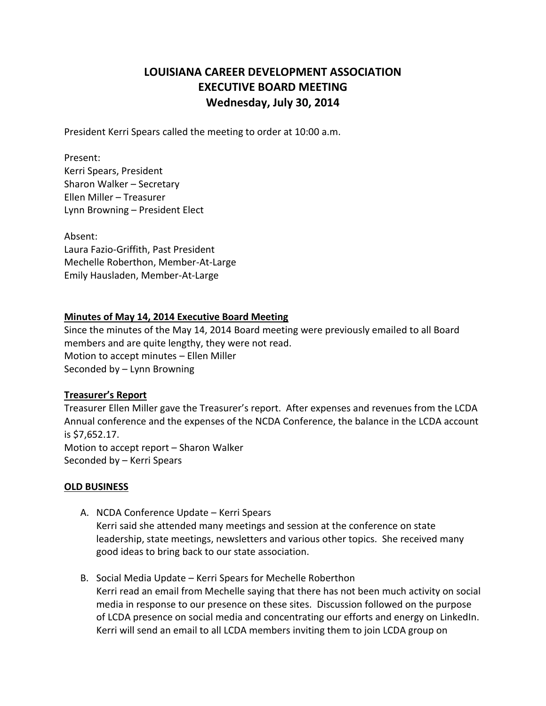# **LOUISIANA CAREER DEVELOPMENT ASSOCIATION EXECUTIVE BOARD MEETING Wednesday, July 30, 2014**

President Kerri Spears called the meeting to order at 10:00 a.m.

Present:

Kerri Spears, President Sharon Walker – Secretary Ellen Miller – Treasurer Lynn Browning – President Elect

Absent: Laura Fazio-Griffith, Past President Mechelle Roberthon, Member-At-Large Emily Hausladen, Member-At-Large

#### **Minutes of May 14, 2014 Executive Board Meeting**

Since the minutes of the May 14, 2014 Board meeting were previously emailed to all Board members and are quite lengthy, they were not read. Motion to accept minutes – Ellen Miller Seconded by – Lynn Browning

### **Treasurer's Report**

Treasurer Ellen Miller gave the Treasurer's report. After expenses and revenues from the LCDA Annual conference and the expenses of the NCDA Conference, the balance in the LCDA account is \$7,652.17. Motion to accept report – Sharon Walker Seconded by – Kerri Spears

#### **OLD BUSINESS**

- A. NCDA Conference Update Kerri Spears Kerri said she attended many meetings and session at the conference on state leadership, state meetings, newsletters and various other topics. She received many good ideas to bring back to our state association.
- B. Social Media Update Kerri Spears for Mechelle Roberthon Kerri read an email from Mechelle saying that there has not been much activity on social media in response to our presence on these sites. Discussion followed on the purpose of LCDA presence on social media and concentrating our efforts and energy on LinkedIn. Kerri will send an email to all LCDA members inviting them to join LCDA group on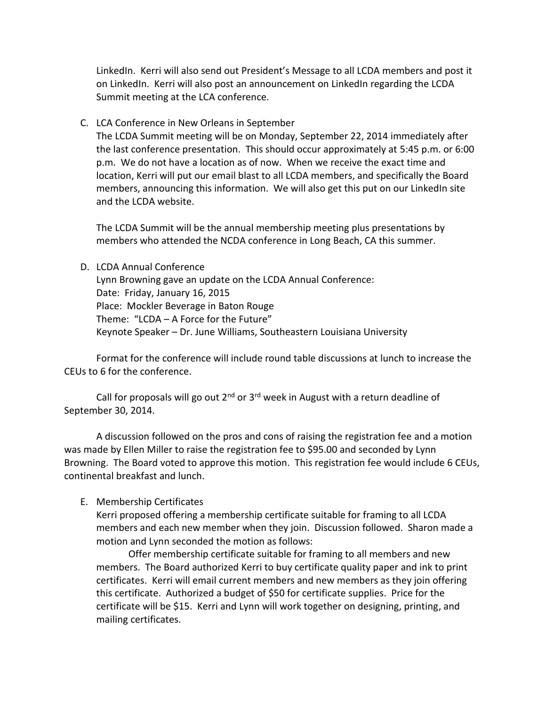LinkedIn. Kerri will also send out President's Message to all LCDA members and post it on LinkedIn. Kerri will also post an announcement on LinkedIn regarding the LCDA Summit meeting at the LCA conference.

C. LCA Conference in New Orleans in September

The LCDA Summit meeting will be on Monday, September 22, 2014 immediately after the last conference presentation. This should occur approximately at 5:45 p.m. or 6:00 p.m. We do not have a location as of now. When we receive the exact time and location, Kerri will put our email blast to all LCDA members, and specifically the Board members, announcing this information. We will also get this put on our LinkedIn site and the LCDA website.

The LCDA Summit will be the annual membership meeting plus presentations by members who attended the NCDA conference in Long Beach, CA this summer.

#### D. LCDA Annual Conference

Lynn Browning gave an update on the LCDA Annual Conference: Date: Friday, January 16, 2015 Place: Mockler Beverage in Baton Rouge Theme: "LCDA – A Force for the Future" Keynote Speaker – Dr. June Williams, Southeastern Louisiana University

Format for the conference will include round table discussions at lunch to increase the CEUs to 6 for the conference.

Call for proposals will go out  $2^{nd}$  or  $3^{rd}$  week in August with a return deadline of September 30, 2014.

A discussion followed on the pros and cons of raising the registration fee and a motion was made by Ellen Miller to raise the registration fee to \$95.00 and seconded by Lynn Browning. The Board voted to approve this motion. This registration fee would include 6 CEUs, continental breakfast and lunch.

### E. Membership Certificates

Kerri proposed offering a membership certificate suitable for framing to all LCDA members and each new member when they join. Discussion followed. Sharon made a motion and Lynn seconded the motion as follows:

Offer membership certificate suitable for framing to all members and new members. The Board authorized Kerri to buy certificate quality paper and ink to print certificates. Kerri will email current members and new members as they join offering this certificate. Authorized a budget of \$50 for certificate supplies. Price for the certificate will be \$15. Kerri and Lynn will work together on designing, printing, and mailing certificates.